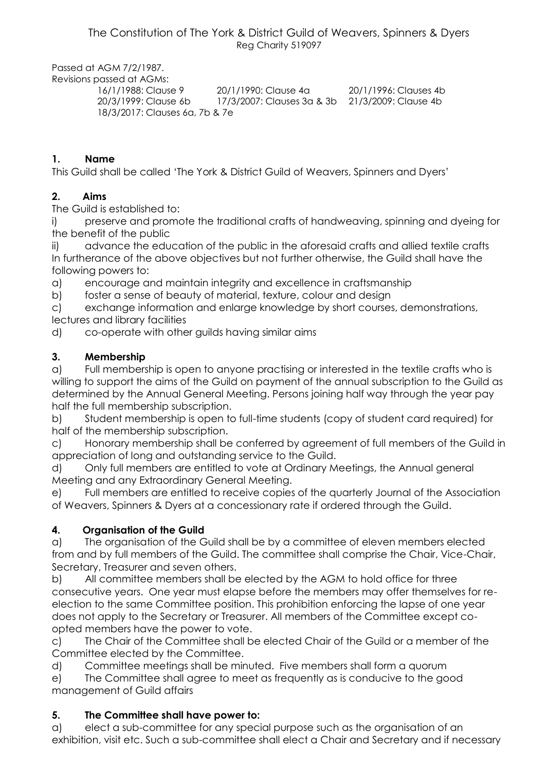The Constitution of The York & District Guild of Weavers, Spinners & Dyers Reg Charity 519097

Passed at AGM 7/2/1987.

Revisions passed at AGMs: 16/1/1988: Clause 9 20/1/1990: Clause 4a 20/1/1996: Clauses 4b 20/3/1999: Clause 6b 17/3/2007: Clauses 3a & 3b 21/3/2009: Clause 4b 18/3/2017: Clauses 6a, 7b & 7e

### **1. Name**

This Guild shall be called 'The York & District Guild of Weavers, Spinners and Dyers'

### **2. Aims**

The Guild is established to:

i) preserve and promote the traditional crafts of handweaving, spinning and dyeing for the benefit of the public

ii) advance the education of the public in the aforesaid crafts and allied textile crafts In furtherance of the above objectives but not further otherwise, the Guild shall have the following powers to:

a) encourage and maintain integrity and excellence in craftsmanship

b) foster a sense of beauty of material, texture, colour and design

c) exchange information and enlarge knowledge by short courses, demonstrations, lectures and library facilities

d) co-operate with other guilds having similar aims

### **3. Membership**

a) Full membership is open to anyone practising or interested in the textile crafts who is willing to support the aims of the Guild on payment of the annual subscription to the Guild as determined by the Annual General Meeting. Persons joining half way through the year pay half the full membership subscription.

b) Student membership is open to full-time students (copy of student card required) for half of the membership subscription.

c) Honorary membership shall be conferred by agreement of full members of the Guild in appreciation of long and outstanding service to the Guild.

d) Only full members are entitled to vote at Ordinary Meetings, the Annual general Meeting and any Extraordinary General Meeting.

e) Full members are entitled to receive copies of the quarterly Journal of the Association of Weavers, Spinners & Dyers at a concessionary rate if ordered through the Guild.

### **4. Organisation of the Guild**

a) The organisation of the Guild shall be by a committee of eleven members elected from and by full members of the Guild. The committee shall comprise the Chair, Vice-Chair, Secretary, Treasurer and seven others.

b) All committee members shall be elected by the AGM to hold office for three consecutive years. One year must elapse before the members may offer themselves for reelection to the same Committee position. This prohibition enforcing the lapse of one year does not apply to the Secretary or Treasurer. All members of the Committee except coopted members have the power to vote.

c) The Chair of the Committee shall be elected Chair of the Guild or a member of the Committee elected by the Committee.

d) Committee meetings shall be minuted. Five members shall form a quorum

e) The Committee shall agree to meet as frequently as is conducive to the good management of Guild affairs

### **5. The Committee shall have power to:**

a) elect a sub-committee for any special purpose such as the organisation of an exhibition, visit etc. Such a sub-committee shall elect a Chair and Secretary and if necessary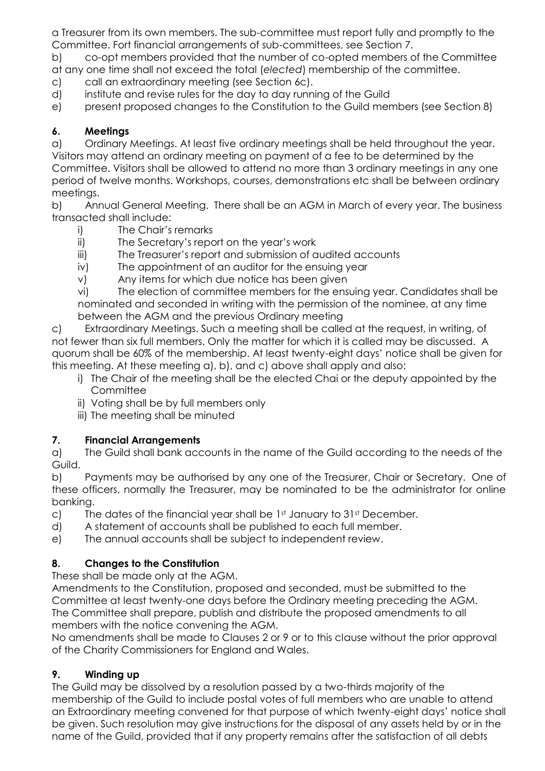a Treasurer from its own members. The sub-committee must report fully and promptly to the Committee. Fort financial arrangements of sub-committees, see Section 7.

b) co-opt members provided that the number of co-opted members of the Committee at any one time shall not exceed the total (*elected*) membership of the committee.

c) call an extraordinary meeting (see Section 6c).

d) institute and revise rules for the day to day running of the Guild

e) present proposed changes to the Constitution to the Guild members (see Section 8)

### **6. Meetings**

a) Ordinary Meetings. At least five ordinary meetings shall be held throughout the year. Visitors may attend an ordinary meeting on payment of a fee to be determined by the

Committee. Visitors shall be allowed to attend no more than 3 ordinary meetings in any one period of twelve months. Workshops, courses, demonstrations etc shall be between ordinary meetings.

b) Annual General Meeting. There shall be an AGM in March of every year. The business transacted shall include:

- i) The Chair's remarks
- ii) The Secretary's report on the year's work
- iii) The Treasurer's report and submission of audited accounts
- iv) The appointment of an auditor for the ensuing year

v) Any items for which due notice has been given

vi) The election of committee members for the ensuing year. Candidates shall be nominated and seconded in writing with the permission of the nominee, at any time between the AGM and the previous Ordinary meeting

c) Extraordinary Meetings. Such a meeting shall be called at the request, in writing, of not fewer than six full members. Only the matter for which it is called may be discussed. A quorum shall be 60% of the membership. At least twenty-eight days' notice shall be given for this meeting. At these meeting a), b), and c) above shall apply and also:

- i) The Chair of the meeting shall be the elected Chai or the deputy appointed by the **Committee**
- ii) Voting shall be by full members only
- iii) The meeting shall be minuted

# **7. Financial Arrangements**

a) The Guild shall bank accounts in the name of the Guild according to the needs of the Guild.

b) Payments may be authorised by any one of the Treasurer, Chair or Secretary. One of these officers, normally the Treasurer, may be nominated to be the administrator for online banking.

- c) The dates of the financial year shall be  $1<sup>st</sup>$  January to  $31<sup>st</sup>$  December.
- d) A statement of accounts shall be published to each full member.
- e) The annual accounts shall be subject to independent review.

# **8. Changes to the Constitution**

These shall be made only at the AGM.

Amendments to the Constitution, proposed and seconded, must be submitted to the Committee at least twenty-one days before the Ordinary meeting preceding the AGM. The Committee shall prepare, publish and distribute the proposed amendments to all members with the notice convening the AGM.

No amendments shall be made to Clauses 2 or 9 or to this clause without the prior approval of the Charity Commissioners for England and Wales.

# **9. Winding up**

The Guild may be dissolved by a resolution passed by a two-thirds majority of the membership of the Guild to include postal votes of full members who are unable to attend an Extraordinary meeting convened for that purpose of which twenty-eight days' notice shall be given. Such resolution may give instructions for the disposal of any assets held by or in the name of the Guild, provided that if any property remains after the satisfaction of all debts